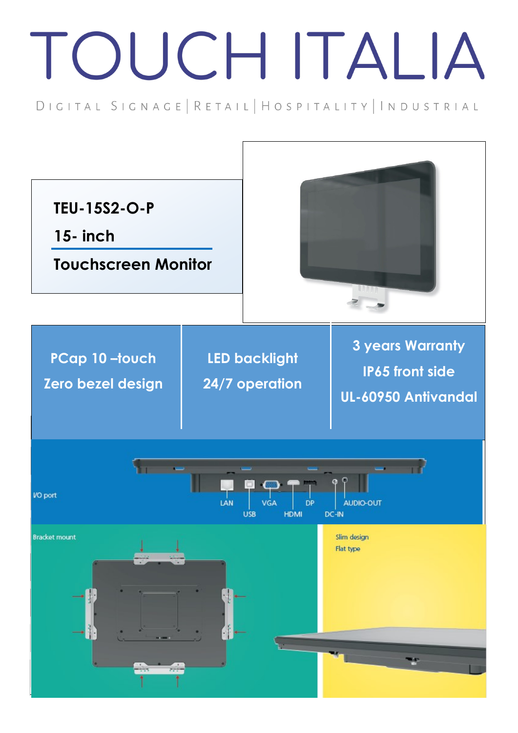## TOUCH ITALIA

DIGITAL SIGNAGE | RETAIL | HOSPITALITY | INDUSTRIAL